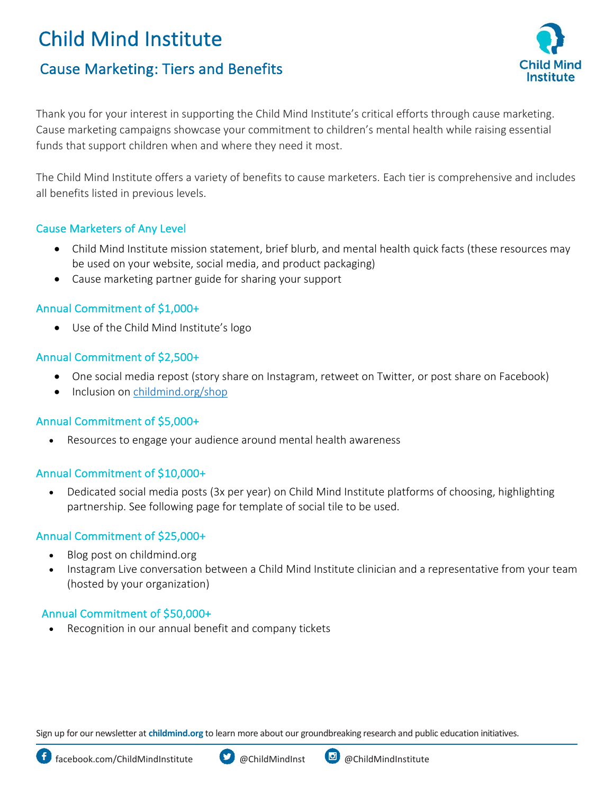# Child Mind Institute

# Cause Marketing: Tiers and Benefits



Thank you for your interest in supporting the Child Mind Institute's critical efforts through cause marketing. Cause marketing campaigns showcase your commitment to children's mental health while raising essential funds that support children when and where they need it most.

The Child Mind Institute offers a variety of benefits to cause marketers. Each tier is comprehensive and includes all benefits listed in previous levels.

# Cause Marketers of Any Level

- Child Mind Institute mission statement, brief blurb, and mental health quick facts (these resources may be used on your website, social media, and product packaging)
- Cause marketing partner guide for sharing your support

# Annual Commitment of \$1,000+

• Use of the Child Mind Institute's logo

# Annual Commitment of \$2,500+

- One social media repost (story share on Instagram, retweet on Twitter, or post share on Facebook)
- Inclusion on [childmind.org/shop](https://childmind.org/get-involved/shop/)

# Annual Commitment of \$5,000+

• Resources to engage your audience around mental health awareness

# Annual Commitment of \$10,000+

• Dedicated social media posts (3x per year) on Child Mind Institute platforms of choosing, highlighting partnership. See following page for template of social tile to be used.

#### Annual Commitment of \$25,000+

- Blog post on childmind.org
- Instagram Live conversation between a Child Mind Institute clinician and a representative from your team (hosted by your organization)

# Annual Commitment of \$50,000+

• Recognition in our annual benefit and company tickets

Sign up for our newsletter at **childmind.org** to learn more about our groundbreaking research and public education initiatives.